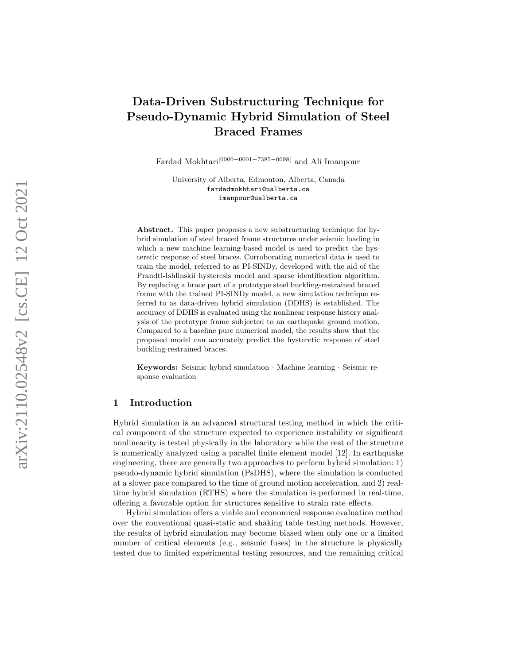# Data-Driven Substructuring Technique for Pseudo-Dynamic Hybrid Simulation of Steel Braced Frames

Fardad Mokhtari<sup>[0000–0001–7385–0098]</sup> and Ali Imanpour

University of Alberta, Edmonton, Alberta, Canada fardadmokhtari@ualberta.ca imanpour@ualberta.ca

Abstract. This paper proposes a new substructuring technique for hybrid simulation of steel braced frame structures under seismic loading in which a new machine learning-based model is used to predict the hysteretic response of steel braces. Corroborating numerical data is used to train the model, referred to as PI-SINDy, developed with the aid of the Prandtl-Ishlinskii hysteresis model and sparse identification algorithm. By replacing a brace part of a prototype steel buckling-restrained braced frame with the trained PI-SINDy model, a new simulation technique referred to as data-driven hybrid simulation (DDHS) is established. The accuracy of DDHS is evaluated using the nonlinear response history analysis of the prototype frame subjected to an earthquake ground motion. Compared to a baseline pure numerical model, the results show that the proposed model can accurately predict the hysteretic response of steel buckling-restrained braces.

Keywords: Seismic hybrid simulation · Machine learning · Seismic response evaluation

### 1 Introduction

Hybrid simulation is an advanced structural testing method in which the critical component of the structure expected to experience instability or significant nonlinearity is tested physically in the laboratory while the rest of the structure is numerically analyzed using a parallel finite element model [12]. In earthquake engineering, there are generally two approaches to perform hybrid simulation: 1) pseudo-dynamic hybrid simulation (PsDHS), where the simulation is conducted at a slower pace compared to the time of ground motion acceleration, and 2) realtime hybrid simulation (RTHS) where the simulation is performed in real-time, offering a favorable option for structures sensitive to strain rate effects.

Hybrid simulation offers a viable and economical response evaluation method over the conventional quasi-static and shaking table testing methods. However, the results of hybrid simulation may become biased when only one or a limited number of critical elements (e.g., seismic fuses) in the structure is physically tested due to limited experimental testing resources, and the remaining critical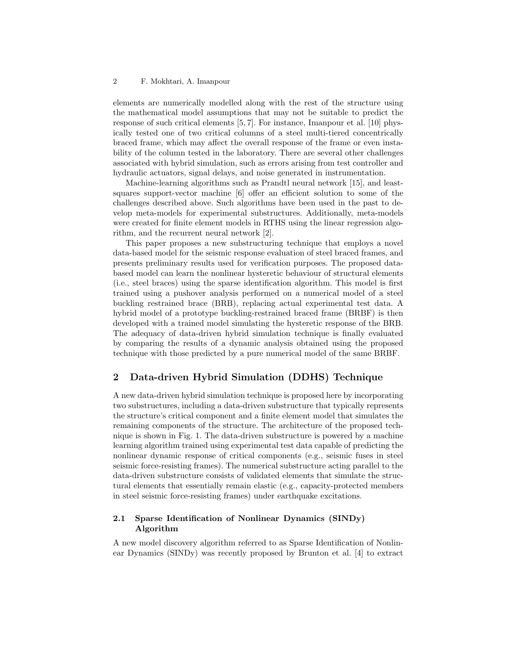#### 2 F. Mokhtari, A. Imanpour

elements are numerically modelled along with the rest of the structure using the mathematical model assumptions that may not be suitable to predict the response of such critical elements [5, 7]. For instance, Imanpour et al. [10] physically tested one of two critical columns of a steel multi-tiered concentrically braced frame, which may affect the overall response of the frame or even instability of the column tested in the laboratory. There are several other challenges associated with hybrid simulation, such as errors arising from test controller and hydraulic actuators, signal delays, and noise generated in instrumentation.

Machine-learning algorithms such as Prandtl neural network [15], and leastsquares support-vector machine [6] offer an efficient solution to some of the challenges described above. Such algorithms have been used in the past to develop meta-models for experimental substructures. Additionally, meta-models were created for finite element models in RTHS using the linear regression algorithm, and the recurrent neural network [2].

This paper proposes a new substructuring technique that employs a novel data-based model for the seismic response evaluation of steel braced frames, and presents preliminary results used for verification purposes. The proposed databased model can learn the nonlinear hysteretic behaviour of structural elements (i.e., steel braces) using the sparse identification algorithm. This model is first trained using a pushover analysis performed on a numerical model of a steel buckling restrained brace (BRB), replacing actual experimental test data. A hybrid model of a prototype buckling-restrained braced frame (BRBF) is then developed with a trained model simulating the hysteretic response of the BRB. The adequacy of data-driven hybrid simulation technique is finally evaluated by comparing the results of a dynamic analysis obtained using the proposed technique with those predicted by a pure numerical model of the same BRBF.

### 2 Data-driven Hybrid Simulation (DDHS) Technique

A new data-driven hybrid simulation technique is proposed here by incorporating two substructures, including a data-driven substructure that typically represents the structure's critical component and a finite element model that simulates the remaining components of the structure. The architecture of the proposed technique is shown in Fig. 1. The data-driven substructure is powered by a machine learning algorithm trained using experimental test data capable of predicting the nonlinear dynamic response of critical components (e.g., seismic fuses in steel seismic force-resisting frames). The numerical substructure acting parallel to the data-driven substructure consists of validated elements that simulate the structural elements that essentially remain elastic (e.g., capacity-protected members in steel seismic force-resisting frames) under earthquake excitations.

## 2.1 Sparse Identification of Nonlinear Dynamics (SINDy) Algorithm

A new model discovery algorithm referred to as Sparse Identification of Nonlinear Dynamics (SINDy) was recently proposed by Brunton et al. [4] to extract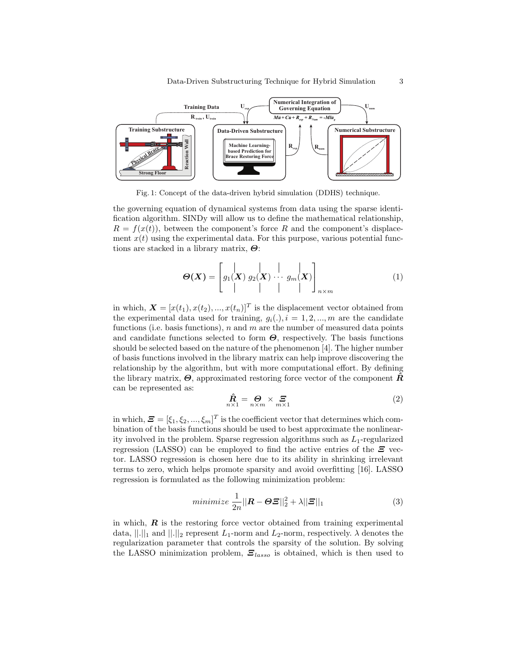

Fig. 1: Concept of the data-driven hybrid simulation (DDHS) technique.

the governing equation of dynamical systems from data using the sparse identification algorithm. SINDy will allow us to define the mathematical relationship,  $R = f(x(t))$ , between the component's force R and the component's displacement  $x(t)$  using the experimental data. For this purpose, various potential functions are stacked in a library matrix,  $\boldsymbol{\Theta}$ :

$$
\boldsymbol{\Theta}(\boldsymbol{X}) = \begin{bmatrix} | & | & | \\ g_1(\boldsymbol{X}) & g_2(\boldsymbol{X}) & \cdots & g_m(\boldsymbol{X}) \\ | & | & | & | \end{bmatrix}_{n \times m} \tag{1}
$$

in which,  $\mathbf{X} = [x(t_1), x(t_2), ..., x(t_n)]^T$  is the displacement vector obtained from the experimental data used for training,  $g_i(.)$ ,  $i = 1, 2, ..., m$  are the candidate functions (i.e. basis functions), n and m are the number of measured data points and candidate functions selected to form  $\Theta$ , respectively. The basis functions should be selected based on the nature of the phenomenon [4]. The higher number of basis functions involved in the library matrix can help improve discovering the relationship by the algorithm, but with more computational effort. By defining the library matrix,  $\boldsymbol{\Theta}$ , approximated restoring force vector of the component  $\boldsymbol{\tilde{R}}$ can be represented as:

$$
\hat{\mathbf{R}} = \mathbf{\Theta}_{n \times n} \times \mathbf{\Xi}
$$
 (2)

in which,  $\boldsymbol{\Xi} = [\xi_1, \xi_2, ..., \xi_m]^T$  is the coefficient vector that determines which combination of the basis functions should be used to best approximate the nonlinearity involved in the problem. Sparse regression algorithms such as  $L_1$ -regularized regression (LASSO) can be employed to find the active entries of the  $\Xi$  vector. LASSO regression is chosen here due to its ability in shrinking irrelevant terms to zero, which helps promote sparsity and avoid overfitting [16]. LASSO regression is formulated as the following minimization problem:

$$
minimize \frac{1}{2n} ||\mathbf{R} - \boldsymbol{\Theta}\boldsymbol{\Xi}||_2^2 + \lambda ||\boldsymbol{\Xi}||_1
$$
\n(3)

in which,  $\boldsymbol{R}$  is the restoring force vector obtained from training experimental data,  $||.||_1$  and  $||.||_2$  represent  $L_1$ -norm and  $L_2$ -norm, respectively.  $\lambda$  denotes the regularization parameter that controls the sparsity of the solution. By solving the LASSO minimization problem,  $\mathcal{Z}_{lasso}$  is obtained, which is then used to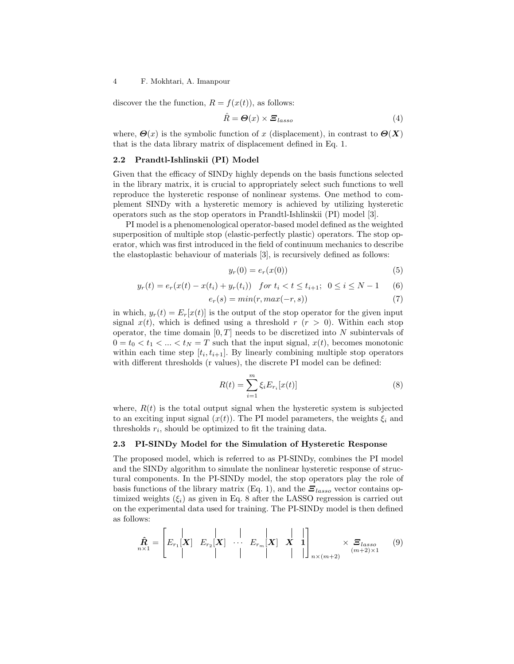#### 4 F. Mokhtari, A. Imanpour

discover the the function,  $R = f(x(t))$ , as follows:

$$
\hat{R} = \Theta(x) \times \Xi_{lasso}
$$
 (4)

where,  $\Theta(x)$  is the symbolic function of x (displacement), in contrast to  $\Theta(X)$ that is the data library matrix of displacement defined in Eq. 1.

### 2.2 Prandtl-Ishlinskii (PI) Model

Given that the efficacy of SINDy highly depends on the basis functions selected in the library matrix, it is crucial to appropriately select such functions to well reproduce the hysteretic response of nonlinear systems. One method to complement SINDy with a hysteretic memory is achieved by utilizing hysteretic operators such as the stop operators in Prandtl-Ishlinskii (PI) model [3].

PI model is a phenomenological operator-based model defined as the weighted superposition of multiple stop (elastic-perfectly plastic) operators. The stop operator, which was first introduced in the field of continuum mechanics to describe the elastoplastic behaviour of materials [3], is recursively defined as follows:

$$
y_r(0) = e_r(x(0))
$$
\n<sup>(5)</sup>

$$
y_r(t) = e_r(x(t) - x(t_i) + y_r(t_i)) \quad \text{for } t_i < t \le t_{i+1}; \ \ 0 \le i \le N - 1 \tag{6}
$$

$$
e_r(s) = min(r, max(-r, s))
$$
\n(7)

in which,  $y_r(t) = E_r[x(t)]$  is the output of the stop operator for the given input signal  $x(t)$ , which is defined using a threshold  $r (r > 0)$ . Within each stop operator, the time domain  $[0, T]$  needs to be discretized into N subintervals of  $0 = t_0 < t_1 < ... < t_N = T$  such that the input signal,  $x(t)$ , becomes monotonic within each time step  $[t_i, t_{i+1}]$ . By linearly combining multiple stop operators with different thresholds (r values), the discrete PI model can be defined:

$$
R(t) = \sum_{i=1}^{m} \xi_i E_{r_i}[x(t)]
$$
\n(8)

where,  $R(t)$  is the total output signal when the hysteretic system is subjected to an exciting input signal  $(x(t))$ . The PI model parameters, the weights  $\xi_i$  and thresholds  $r_i$ , should be optimized to fit the training data.

#### 2.3 PI-SINDy Model for the Simulation of Hysteretic Response

The proposed model, which is referred to as PI-SINDy, combines the PI model and the SINDy algorithm to simulate the nonlinear hysteretic response of structural components. In the PI-SINDy model, the stop operators play the role of basis functions of the library matrix (Eq. 1), and the  $\mathbf{\Xi}_{lasso}$  vector contains optimized weights  $(\xi_i)$  as given in Eq. 8 after the LASSO regression is carried out on the experimental data used for training. The PI-SINDy model is then defined as follows:

$$
\hat{\mathbf{R}}_{n\times 1} = \begin{bmatrix} | & | & | & | \\ E_{r_1}[\mathbf{X}] & E_{r_2}[\mathbf{X}] & \cdots & E_{r_m}[\mathbf{X}] & \mathbf{X} & \mathbf{1} \\ | & | & | & | & | & | \end{bmatrix}_{n\times (m+2)} \times \mathbf{E}_{lasso} \tag{9}
$$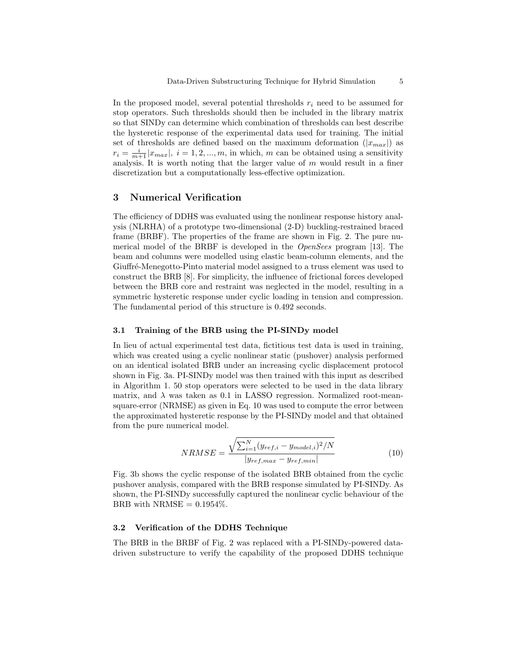In the proposed model, several potential thresholds  $r_i$  need to be assumed for stop operators. Such thresholds should then be included in the library matrix so that SINDy can determine which combination of thresholds can best describe the hysteretic response of the experimental data used for training. The initial set of thresholds are defined based on the maximum deformation  $(|x_{max}|)$  as  $r_i = \frac{i}{m+1} |x_{max}|, i = 1, 2, ..., m$ , in which, m can be obtained using a sensitivity analysis. It is worth noting that the larger value of  $m$  would result in a finer discretization but a computationally less-effective optimization.

### 3 Numerical Verification

The efficiency of DDHS was evaluated using the nonlinear response history analysis (NLRHA) of a prototype two-dimensional (2-D) buckling-restrained braced frame (BRBF). The properties of the frame are shown in Fig. 2. The pure numerical model of the BRBF is developed in the OpenSees program [13]. The beam and columns were modelled using elastic beam-column elements, and the Giuffré-Menegotto-Pinto material model assigned to a truss element was used to construct the BRB [8]. For simplicity, the influence of frictional forces developed between the BRB core and restraint was neglected in the model, resulting in a symmetric hysteretic response under cyclic loading in tension and compression. The fundamental period of this structure is 0.492 seconds.

### 3.1 Training of the BRB using the PI-SINDy model

In lieu of actual experimental test data, fictitious test data is used in training, which was created using a cyclic nonlinear static (pushover) analysis performed on an identical isolated BRB under an increasing cyclic displacement protocol shown in Fig. 3a. PI-SINDy model was then trained with this input as described in Algorithm 1. 50 stop operators were selected to be used in the data library matrix, and  $\lambda$  was taken as 0.1 in LASSO regression. Normalized root-meansquare-error (NRMSE) as given in Eq. 10 was used to compute the error between the approximated hysteretic response by the PI-SINDy model and that obtained from the pure numerical model.

$$
NRMSE = \frac{\sqrt{\sum_{i=1}^{N} (y_{ref,i} - y_{model,i})^2 / N}}{|y_{ref,max} - y_{ref,min}|}
$$
(10)

Fig. 3b shows the cyclic response of the isolated BRB obtained from the cyclic pushover analysis, compared with the BRB response simulated by PI-SINDy. As shown, the PI-SINDy successfully captured the nonlinear cyclic behaviour of the BRB with NRMSE  $= 0.1954\%$ .

### 3.2 Verification of the DDHS Technique

The BRB in the BRBF of Fig. 2 was replaced with a PI-SINDy-powered datadriven substructure to verify the capability of the proposed DDHS technique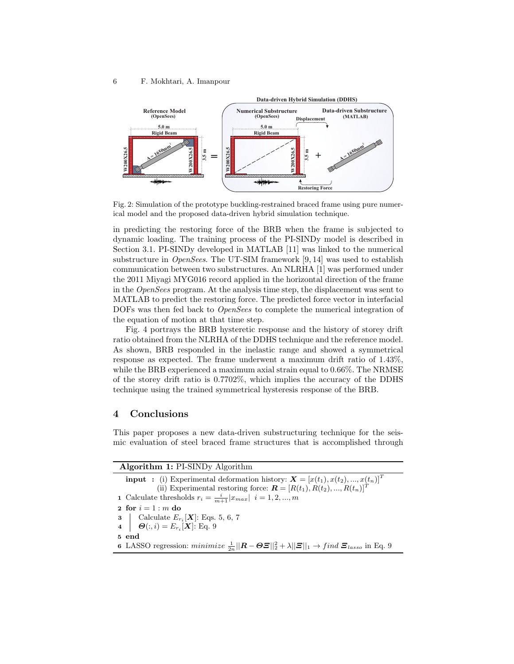

Fig. 2: Simulation of the prototype buckling-restrained braced frame using pure numerical model and the proposed data-driven hybrid simulation technique.

in predicting the restoring force of the BRB when the frame is subjected to dynamic loading. The training process of the PI-SINDy model is described in Section 3.1. PI-SINDy developed in MATLAB [11] was linked to the numerical substructure in *OpenSees*. The UT-SIM framework  $[9, 14]$  was used to establish communication between two substructures. An NLRHA [1] was performed under the 2011 Miyagi MYG016 record applied in the horizontal direction of the frame in the OpenSees program. At the analysis time step, the displacement was sent to MATLAB to predict the restoring force. The predicted force vector in interfacial DOFs was then fed back to *OpenSees* to complete the numerical integration of the equation of motion at that time step.

Fig. 4 portrays the BRB hysteretic response and the history of storey drift ratio obtained from the NLRHA of the DDHS technique and the reference model. As shown, BRB responded in the inelastic range and showed a symmetrical response as expected. The frame underwent a maximum drift ratio of 1.43%, while the BRB experienced a maximum axial strain equal to 0.66%. The NRMSE of the storey drift ratio is 0.7702%, which implies the accuracy of the DDHS technique using the trained symmetrical hysteresis response of the BRB.

# 4 Conclusions

This paper proposes a new data-driven substructuring technique for the seismic evaluation of steel braced frame structures that is accomplished through

| Algorithm 1: PI-SINDy Algorithm                                                                                                                                                                 |
|-------------------------------------------------------------------------------------------------------------------------------------------------------------------------------------------------|
| <b>input</b> : (i) Experimental deformation history: $\mathbf{X} = [x(t_1), x(t_2), , x(t_n)]^T$                                                                                                |
| (ii) Experimental restoring force: $\mathbf{R} = [R(t_1), R(t_2), , R(t_n)]^T$                                                                                                                  |
| 1 Calculate thresholds $r_i = \frac{i}{m+1}  x_{max}  i = 1, 2, , m$                                                                                                                            |
| 2 for $i=1:m$ do                                                                                                                                                                                |
| 3 Calculate $E_{r_i}[\bm{X}]$ : Eqs. 5, 6, 7<br>4 $\Theta(:,i) = E_{r_i}[\bm{X}]$ : Eq. 9                                                                                                       |
|                                                                                                                                                                                                 |
| 5 end                                                                                                                                                                                           |
| <b>6</b> LASSO regression: $minimize \frac{1}{2n}   \mathbf{R} - \boldsymbol{\Theta}\boldsymbol{\Xi}  _2^2 + \lambda   \boldsymbol{\Xi}  _1 \rightarrow find \boldsymbol{\Xi}_{lasso}$ in Eq. 9 |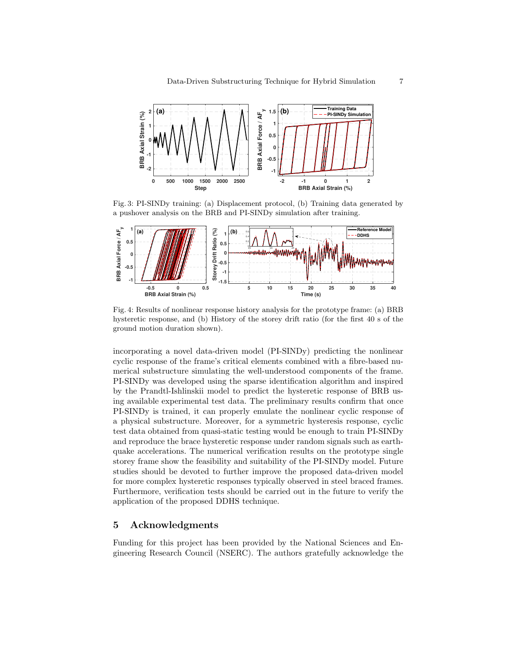

Fig. 3: PI-SINDy training: (a) Displacement protocol, (b) Training data generated by a pushover analysis on the BRB and PI-SINDy simulation after training.



Fig. 4: Results of nonlinear response history analysis for the prototype frame: (a) BRB hysteretic response, and (b) History of the storey drift ratio (for the first 40 s of the ground motion duration shown).

incorporating a novel data-driven model (PI-SINDy) predicting the nonlinear cyclic response of the frame's critical elements combined with a fibre-based numerical substructure simulating the well-understood components of the frame. PI-SINDy was developed using the sparse identification algorithm and inspired by the Prandtl-Ishlinskii model to predict the hysteretic response of BRB using available experimental test data. The preliminary results confirm that once PI-SINDy is trained, it can properly emulate the nonlinear cyclic response of a physical substructure. Moreover, for a symmetric hysteresis response, cyclic test data obtained from quasi-static testing would be enough to train PI-SINDy and reproduce the brace hysteretic response under random signals such as earthquake accelerations. The numerical verification results on the prototype single storey frame show the feasibility and suitability of the PI-SINDy model. Future studies should be devoted to further improve the proposed data-driven model for more complex hysteretic responses typically observed in steel braced frames. Furthermore, verification tests should be carried out in the future to verify the application of the proposed DDHS technique.

# 5 Acknowledgments

Funding for this project has been provided by the National Sciences and Engineering Research Council (NSERC). The authors gratefully acknowledge the